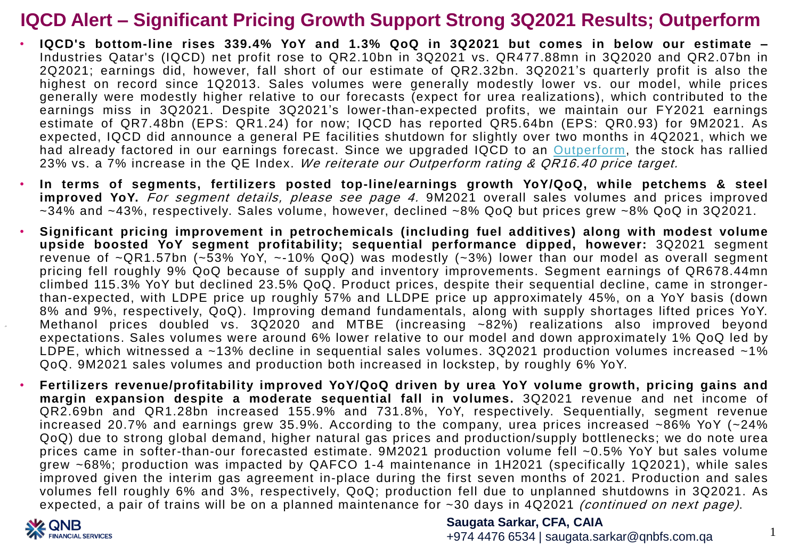- **IQCD's bottom-line rises 339.4% YoY and 1.3% QoQ in 3Q2021 but comes in below our estimate –** Industries Qatar's (IQCD) net profit rose to QR2.10bn in 3Q2021 vs. QR477.88mn in 3Q2020 and QR2.07bn in 2Q2021; earnings did, however, fall short of our estimate of QR2.32bn. 3Q2021's quarterly profit is also the highest on record since 1Q2013. Sales volumes were generally modestly lower vs. our model, while prices generally were modestly higher relative to our forecasts (expect for urea realizations), which contributed to the earnings miss in 3Q2021. Despite 3Q2021's lower-than-expected profits, we maintain our FY2021 earnings estimate of QR7.48bn (EPS: QR1.24) for now; IQCD has reported QR5.64bn (EPS: QR0.93) for 9M2021. As expected, IQCD did announce a general PE facilities shutdown for slightly over two months in 4Q2021, which we had already factored in our earnings forecast. Since we upgraded IQCD to an [Outperform](https://www.qnb.com/sites/qnb/qnbfs/document/en/IQCD-13-09-2021), the stock has rallied 23% vs. a 7% increase in the QE Index. We reiterate our Outperform rating & QR16.40 price target.
- **In terms of segments, fertilizers posted top-line/earnings growth YoY/QoQ, while petchems & steel improved YoY.** For segment details, please see page 4. 9M2021 overall sales volumes and prices improved ~34% and ~43%, respectively. Sales volume, however, declined ~8% QoQ but prices grew ~8% QoQ in 3Q2021.
- **Significant pricing improvement in petrochemicals (including fuel additives) along with modest volume upside boosted YoY segment profitability; sequential performance dipped, however:** 3Q2021 segment revenue of ~QR1.57bn (~53% YoY, ~-10% QoQ) was modestly (~3%) lower than our model as overall segment pricing fell roughly 9% QoQ because of supply and inventory improvements. Segment earnings of QR678.44mn climbed 115.3% YoY but declined 23.5% QoQ. Product prices, despite their sequential decline, came in strongerthan-expected, with LDPE price up roughly 57% and LLDPE price up approximately 45%, on a YoY basis (down 8% and 9%, respectively, QoQ). Improving demand fundamentals, along with supply shortages lifted prices YoY. Methanol prices doubled vs. 3Q2020 and MTBE (increasing ~82%) realizations also improved beyond expectations. Sales volumes were around 6% lower relative to our model and down approximately 1% QoQ led by LDPE, which witnessed a ~13% decline in sequential sales volumes. 3Q2021 production volumes increased ~1% QoQ. 9M2021 sales volumes and production both increased in lockstep, by roughly 6% YoY.
- **Fertilizers revenue/profitability improved YoY/QoQ driven by urea YoY volume growth, pricing gains and margin expansion despite a moderate sequential fall in volumes.** 3Q2021 revenue and net income of QR2.69bn and QR1.28bn increased 155.9% and 731.8%, YoY, respectively. Sequentially, segment revenue increased 20.7% and earnings grew 35.9%. According to the company, urea prices increased ~86% YoY (~24% QoQ) due to strong global demand, higher natural gas prices and production/supply bottlenecks; we do note urea prices came in softer-than-our forecasted estimate. 9M2021 production volume fell ~0.5% YoY but sales volume grew ~68%; production was impacted by QAFCO 1-4 maintenance in 1H2021 (specifically 1Q2021), while sales improved given the interim gas agreement in-place during the first seven months of 2021. Production and sales volumes fell roughly 6% and 3%, respectively, QoQ; production fell due to unplanned shutdowns in 3Q2021. As expected, a pair of trains will be on a planned maintenance for ~30 days in 4Q2021 *(continued on next page)*.



### **Saugata Sarkar, CFA, CAIA**

+974 4476 6534 | saugata.sarkar@qnbfs.com.qa

1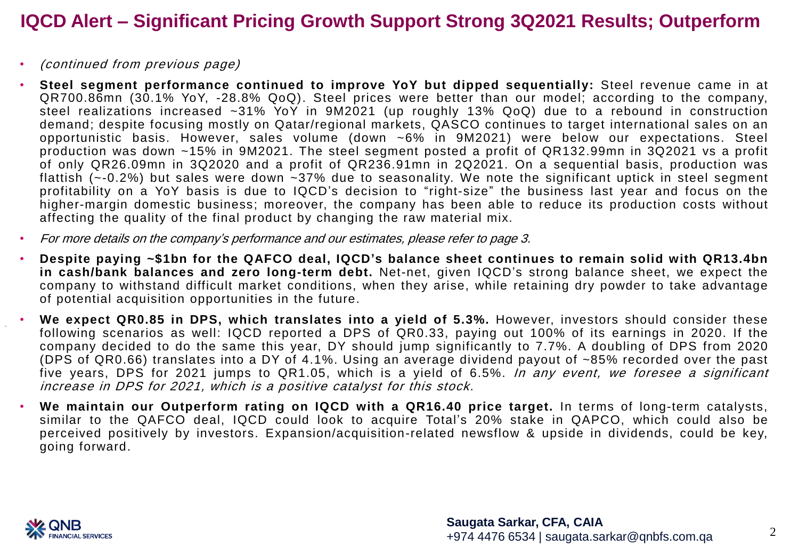- (continued from previous page)
- **Steel segment performance continued to improve YoY but dipped sequentially:** Steel revenue came in at QR700.86mn (30.1% YoY, -28.8% QoQ). Steel prices were better than our model; according to the company, steel realizations increased ~31% YoY in 9M2021 (up roughly 13% QoQ) due to a rebound in construction demand; despite focusing mostly on Qatar/regional markets, QASCO continues to target international sales on an opportunistic basis. However, sales volume (down ~6% in 9M2021) were below our expectations. Steel production was down ~15% in 9M2021. The steel segment posted a profit of QR132.99mn in 3Q2021 vs a profit of only QR26.09mn in 3Q2020 and a profit of QR236.91mn in 2Q2021. On a sequential basis, production was flattish (~-0.2%) but sales were down ~37% due to seasonality. We note the significant uptick in steel segment profitability on a YoY basis is due to IQCD's decision to "right-size" the business last year and focus on the higher-margin domestic business; moreover, the company has been able to reduce its production costs without affecting the quality of the final product by changing the raw material mix.
- For more details on the company's performance and our estimates, please refer to page 3.
- **Despite paying ~\$1bn for the QAFCO deal, IQCD's balance sheet continues to remain solid with QR13.4bn in cash/bank balances and zero long-term debt.** Net-net, given IQCD's strong balance sheet, we expect the company to withstand difficult market conditions, when they arise, while retaining dry powder to take advantage of potential acquisition opportunities in the future.
- **We expect QR0.85 in DPS, which translates into a yield of 5.3%.** However, investors should consider these following scenarios as well: IQCD reported a DPS of QR0.33, paying out 100% of its earnings in 2020. If the company decided to do the same this year, DY should jump significantly to 7.7%. A doubling of DPS from 2020 (DPS of QR0.66) translates into a DY of 4.1%. Using an average dividend payout of ~85% recorded over the past five years, DPS for 2021 jumps to QR1.05, which is a yield of 6.5%. In any event, we foresee a significant increase in DPS for 2021, which is <sup>a</sup> positive catalyst for this stock.
- **We maintain our Outperform rating on IQCD with a QR16.40 price target.** In terms of long-term catalysts, similar to the QAFCO deal, IQCD could look to acquire Total's 20% stake in QAPCO, which could also be perceived positively by investors. Expansion/acquisition-related newsflow & upside in dividends, could be key, going forward.

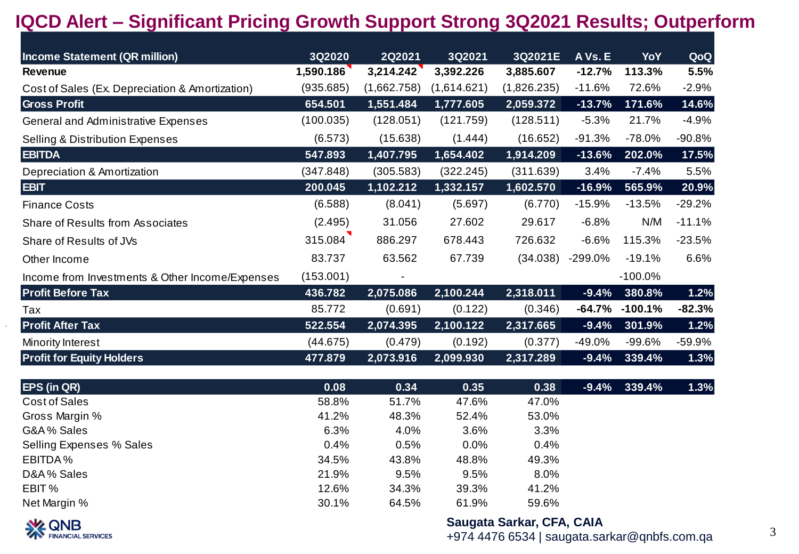| <b>Income Statement (QR million)</b>            | 3Q2020    | 2Q2021             | 3Q2021      | 3Q2021E     | A Vs. E    | YoY       | QoQ      |
|-------------------------------------------------|-----------|--------------------|-------------|-------------|------------|-----------|----------|
| Revenue                                         | 1,590.186 | 3,214.242          | 3,392.226   | 3,885.607   | $-12.7%$   | 113.3%    | 5.5%     |
| Cost of Sales (Ex. Depreciation & Amortization) | (935.685) | (1,662.758)        | (1,614.621) | (1,826.235) | $-11.6%$   | 72.6%     | $-2.9%$  |
| <b>Gross Profit</b>                             | 654.501   | 1,551.484          | 1,777.605   | 2,059.372   | $-13.7%$   | 171.6%    | 14.6%    |
| General and Administrative Expenses             | (100.035) | (128.051)          | (121.759)   | (128.511)   | $-5.3%$    | 21.7%     | $-4.9%$  |
| <b>Selling &amp; Distribution Expenses</b>      | (6.573)   | (15.638)           | (1.444)     | (16.652)    | $-91.3%$   | $-78.0%$  | $-90.8%$ |
| <b>EBITDA</b>                                   | 547.893   | 1,407.795          | 1,654.402   | 1,914.209   | $-13.6%$   | 202.0%    | 17.5%    |
| Depreciation & Amortization                     | (347.848) | (305.583)          | (322.245)   | (311.639)   | 3.4%       | $-7.4%$   | 5.5%     |
| <b>EBIT</b>                                     | 200.045   | 1,102.212          | 1,332.157   | 1,602.570   | $-16.9%$   | 565.9%    | 20.9%    |
| <b>Finance Costs</b>                            | (6.588)   | (8.041)            | (5.697)     | (6.770)     | $-15.9%$   | $-13.5%$  | $-29.2%$ |
| <b>Share of Results from Associates</b>         | (2.495)   | 31.056             | 27.602      | 29.617      | $-6.8%$    | N/M       | $-11.1%$ |
| Share of Results of JVs                         | 315.084   | 886.297            | 678.443     | 726.632     | $-6.6%$    | 115.3%    | $-23.5%$ |
| Other Income                                    | 83.737    | 63.562             | 67.739      | (34.038)    | $-299.0\%$ | $-19.1%$  | 6.6%     |
| Income from Investments & Other Income/Expenses | (153.001) |                    |             |             |            | $-100.0%$ |          |
| <b>Profit Before Tax</b>                        | 436.782   | $\sqrt{2,075.086}$ | 2,100.244   | 2,318.011   | $-9.4%$    | 380.8%    | 1.2%     |
| Tax                                             | 85.772    | (0.691)            | (0.122)     | (0.346)     | -64.7%     | $-100.1%$ | $-82.3%$ |
| <b>Profit After Tax</b>                         | 522.554   | 2,074.395          | 2,100.122   | 2,317.665   | $-9.4%$    | 301.9%    | 1.2%     |
| Minority Interest                               | (44.675)  | (0.479)            | (0.192)     | (0.377)     | $-49.0%$   | $-99.6%$  | $-59.9%$ |
| <b>Profit for Equity Holders</b>                | 477.879   | 2,073.916          | 2,099.930   | 2,317.289   | $-9.4%$    | 339.4%    | 1.3%     |

| <b>EPS (in QR)</b>       | 0.08  | 0.34  | 0.35    | 0.38  | $-9.4\%$ 339.4% | 1.3% |
|--------------------------|-------|-------|---------|-------|-----------------|------|
| Cost of Sales            | 58.8% | 51.7% | 47.6%   | 47.0% |                 |      |
| Gross Margin %           | 41.2% | 48.3% | 52.4%   | 53.0% |                 |      |
| G&A% Sales               | 6.3%  | 4.0%  | 3.6%    | 3.3%  |                 |      |
| Selling Expenses % Sales | 0.4%  | 0.5%  | $0.0\%$ | 0.4%  |                 |      |
| EBITDA%                  | 34.5% | 43.8% | 48.8%   | 49.3% |                 |      |
| D&A% Sales               | 21.9% | 9.5%  | 9.5%    | 8.0%  |                 |      |
| EBIT %                   | 12.6% | 34.3% | 39.3%   | 41.2% |                 |      |
| Net Margin %             | 30.1% | 64.5% | 61.9%   | 59.6% |                 |      |



### **Saugata Sarkar, CFA, CAIA**

+974 4476 6534 | saugata.sarkar@qnbfs.com.qa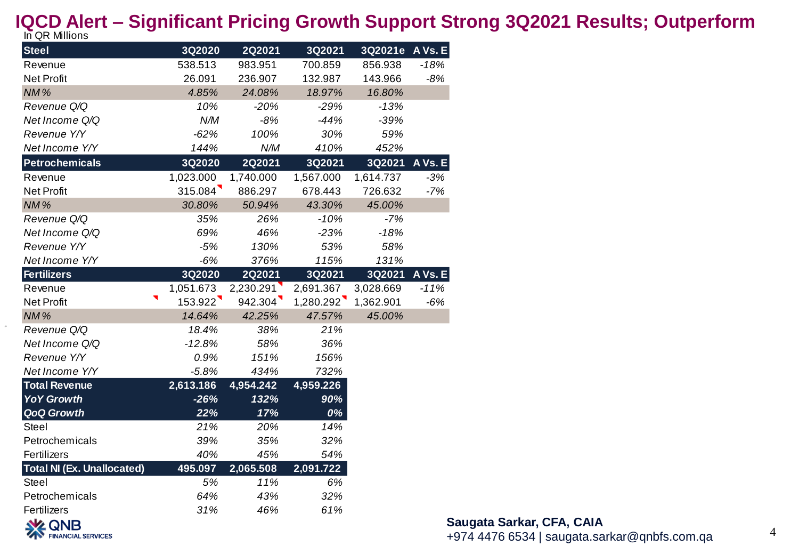| In QR Millions                    |           |               |           |                 |         |
|-----------------------------------|-----------|---------------|-----------|-----------------|---------|
| <b>Steel</b>                      | 3Q2020    | <b>2Q2021</b> | 3Q2021    | 3Q2021e A Vs. E |         |
| Revenue                           | 538.513   | 983.951       | 700.859   | 856.938         | $-18%$  |
| Net Profit                        | 26.091    | 236.907       | 132.987   | 143.966         | $-8%$   |
| NM%                               | 4.85%     | 24.08%        | 18.97%    | 16.80%          |         |
| Revenue Q/Q                       | 10%       | $-20%$        | $-29%$    | $-13%$          |         |
| Net Income Q/Q                    | N/M       | $-8%$         | $-44%$    | $-39%$          |         |
| Revenue Y/Y                       | $-62%$    | 100%          | 30%       | 59%             |         |
| Net Income Y/Y                    | 144%      | N/M           | 410%      | 452%            |         |
| <b>Petrochemicals</b>             | 3Q2020    | <b>2Q2021</b> | 3Q2021    | 3Q2021          | A Vs. E |
| Revenue                           | 1,023.000 | 1,740.000     | 1,567.000 | 1,614.737       | $-3%$   |
| <b>Net Profit</b>                 | 315.084   | 886.297       | 678.443   | 726.632         | $-7%$   |
| NM%                               | 30.80%    | 50.94%        | 43.30%    | 45.00%          |         |
| Revenue Q/Q                       | 35%       | 26%           | $-10%$    | $-7%$           |         |
| Net Income Q/Q                    | 69%       | 46%           | $-23%$    | $-18%$          |         |
| Revenue Y/Y                       | $-5%$     | 130%          | 53%       | 58%             |         |
| Net Income Y/Y                    | $-6%$     | 376%          | 115%      | 131%            |         |
| <b>Fertilizers</b>                | 3Q2020    | <b>2Q2021</b> | 3Q2021    | 3Q2021          | A Vs. E |
| Revenue                           | 1,051.673 | 2,230.291     | 2,691.367 | 3,028.669       | $-11%$  |
| <b>Net Profit</b>                 | 153.922   | 942.304       | 1,280.292 | 1,362.901       | $-6%$   |
| NM%                               | 14.64%    | 42.25%        | 47.57%    | 45.00%          |         |
| Revenue Q/Q                       | 18.4%     | 38%           | 21%       |                 |         |
| Net Income Q/Q                    | $-12.8%$  | 58%           | 36%       |                 |         |
| Revenue Y/Y                       | 0.9%      | 151%          | 156%      |                 |         |
| Net Income Y/Y                    | $-5.8%$   | 434%          | 732%      |                 |         |
| <b>Total Revenue</b>              | 2,613.186 | 4,954.242     | 4,959.226 |                 |         |
| <b>YoY Growth</b>                 | $-26%$    | 132%          | 90%       |                 |         |
| <b>QoQ Growth</b>                 | 22%       | 17%           | 0%        |                 |         |
| Steel                             | 21%       | 20%           | 14%       |                 |         |
| Petrochemicals                    | 39%       | 35%           | 32%       |                 |         |
| Fertilizers                       | 40%       | 45%           | 54%       |                 |         |
| <b>Total NI (Ex. Unallocated)</b> | 495.097   | 2,065.508     | 2,091.722 |                 |         |
| <b>Steel</b>                      | 5%        | 11%           | 6%        |                 |         |
| Petrochemicals                    | 64%       | 43%           | 32%       |                 |         |
| Fertilizers                       | 31%       | 46%           | 61%       |                 |         |
| <b>NA ONR</b>                     |           |               |           |                 |         |

**EXECUTIVE**